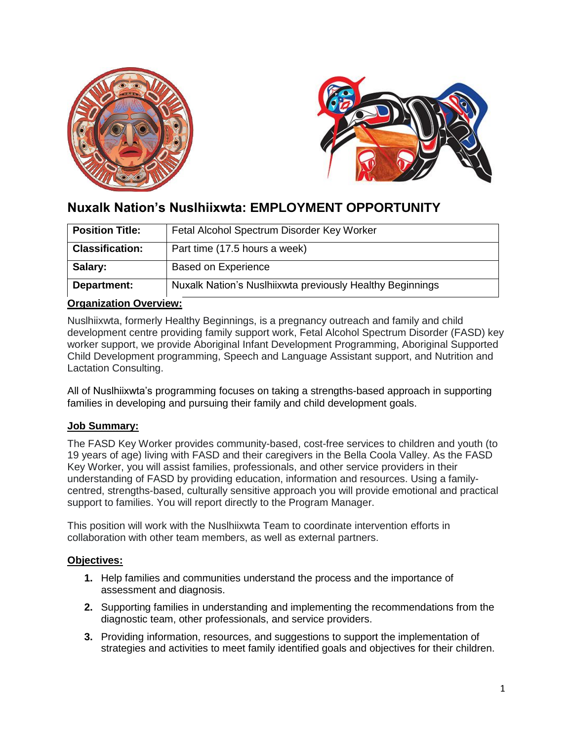



# **Nuxalk Nation's Nuslhiixwta: EMPLOYMENT OPPORTUNITY**

| <b>Position Title:</b> | Fetal Alcohol Spectrum Disorder Key Worker                |
|------------------------|-----------------------------------------------------------|
| <b>Classification:</b> | Part time (17.5 hours a week)                             |
| Salary:                | <b>Based on Experience</b>                                |
| Department:            | Nuxalk Nation's Nuslhiixwta previously Healthy Beginnings |

### **Organization Overview:**

Nuslhiixwta, formerly Healthy Beginnings, is a pregnancy outreach and family and child development centre providing family support work, Fetal Alcohol Spectrum Disorder (FASD) key worker support, we provide Aboriginal Infant Development Programming, Aboriginal Supported Child Development programming, Speech and Language Assistant support, and Nutrition and Lactation Consulting.

All of Nuslhiixwta's programming focuses on taking a strengths-based approach in supporting families in developing and pursuing their family and child development goals.

#### **Job Summary:**

The FASD Key Worker provides community-based, cost-free services to children and youth (to 19 years of age) living with FASD and their caregivers in the Bella Coola Valley. As the FASD Key Worker, you will assist families, professionals, and other service providers in their understanding of FASD by providing education, information and resources. Using a familycentred, strengths-based, culturally sensitive approach you will provide emotional and practical support to families. You will report directly to the Program Manager.

This position will work with the Nuslhiixwta Team to coordinate intervention efforts in collaboration with other team members, as well as external partners.

#### **Objectives:**

- **1.** Help families and communities understand the process and the importance of assessment and diagnosis.
- **2.** Supporting families in understanding and implementing the recommendations from the diagnostic team, other professionals, and service providers.
- **3.** Providing information, resources, and suggestions to support the implementation of strategies and activities to meet family identified goals and objectives for their children.